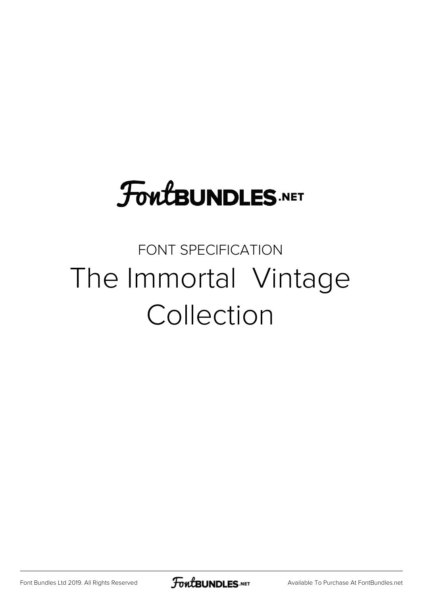## **FoutBUNDLES.NET**

### FONT SPECIFICATION The Immortal Vintage Collection

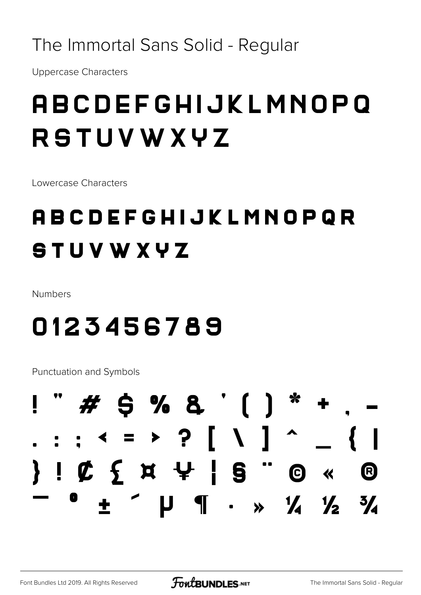#### The Immortal Sans Solid - Regular

**Uppercase Characters** 

### **ABCDEFGHIJKLMNOPO RSTUVWXYZ**

Lowercase Characters

### **ABCDEFGHIJKLMNOPQR STUVWXYZ**

Numbers

### 0123456789

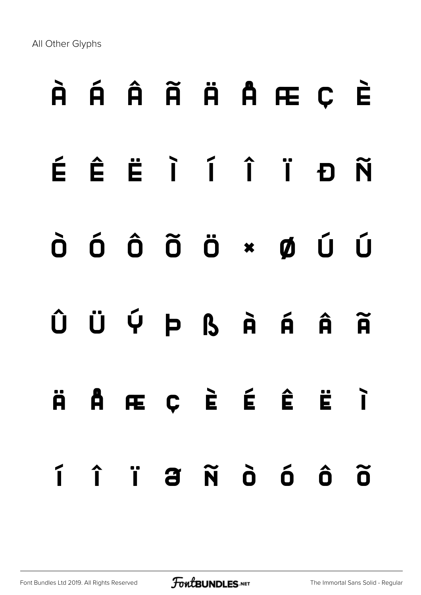# À Á Â Ã Ä Å Æ Ç È

- É Ê Ë Ì Í Î Ï Ð Ñ
- Ò Ó Ô Õ Ö × Ø Ù Ú
- $\hat{U}$  Ü Ý Þ ß À Á Â Ã

ä å æ ç è é ê ë ì í î ï ð ñ ò ó ô õ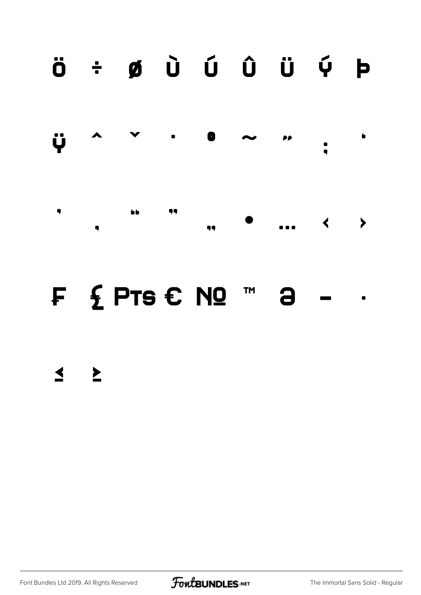### $\ddot{\mathbf{o}}$   $\div$   $\boldsymbol{\emptyset}$   $\ddot{\mathbf{U}}$   $\ddot{\mathbf{U}}$   $\ddot{\mathbf{U}}$   $\ddot{\mathbf{U}}$   $\ddot{\mathbf{V}}$   $\mathbf{P}$



#### F £ PTS € Nº ™ 3

#### $\leq$   $\geq$

Font Bundles Ltd 2019. All Rights Reserved

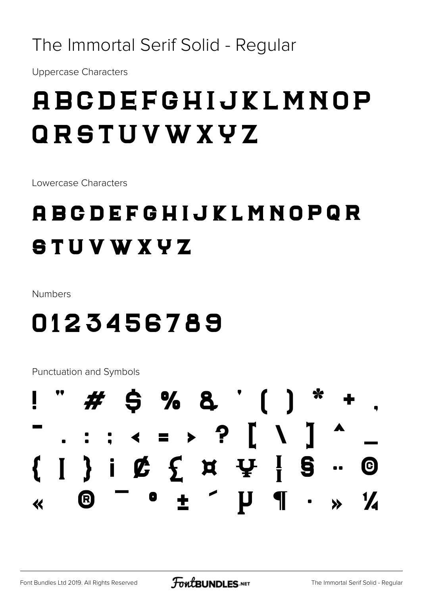#### The Immortal Serif Solid - Regular

**Uppercase Characters** 

### **ABCDEFGHIJKLMNOP** ORSTUVWXYZ

Lowercase Characters

### **ABCDEFGHIJKLMNOPQR STUVWXYZ**

Numbers

### 0123456789

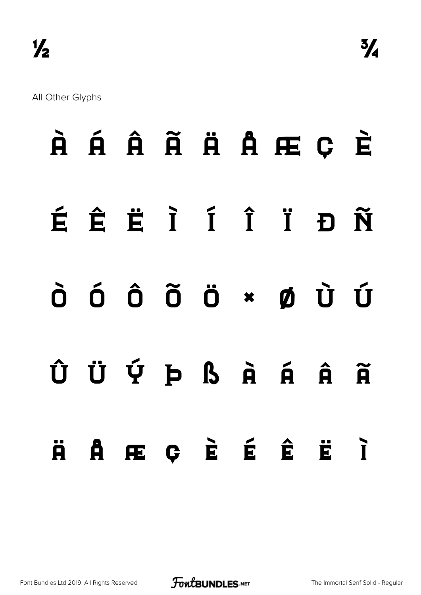|  |  |  | À Á Â Ã Ä Ä Å Æ Ç È                                                                                                                                                                                  |  |
|--|--|--|------------------------------------------------------------------------------------------------------------------------------------------------------------------------------------------------------|--|
|  |  |  | ÉÊËÏÍÎÏĐÑ                                                                                                                                                                                            |  |
|  |  |  | $\dot{\mathbf{0}}$ $\dot{\mathbf{0}}$ $\dot{\mathbf{0}}$ $\ddot{\mathbf{0}}$ $\ddot{\mathbf{0}}$ $\ddot{\mathbf{0}}$ $\ddot{\mathbf{0}}$ $\ddot{\mathbf{0}}$ $\ddot{\mathbf{0}}$ $\ddot{\mathbf{0}}$ |  |
|  |  |  | ÛÜÝÞßÀÁÃ                                                                                                                                                                                             |  |
|  |  |  | Ä Å Æ Ç È É Ê Ë Ì                                                                                                                                                                                    |  |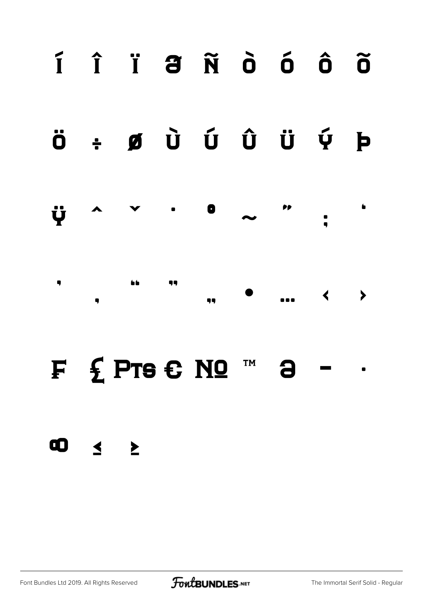

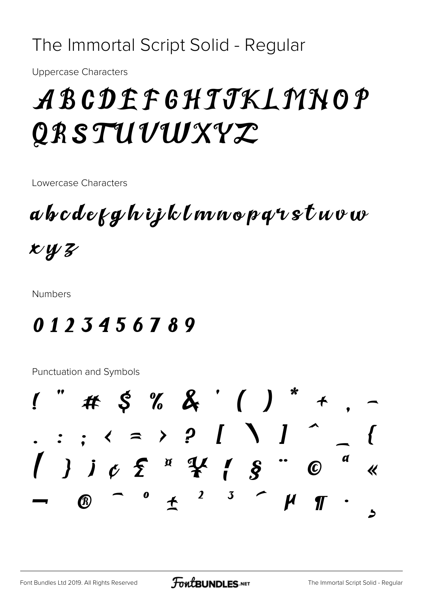#### The Immortal Script Solid - Regular

**Uppercase Characters** 

## ABCDEFGHTJKLMNOP QRSTUVWXYZ

Lowercase Characters

a b c d e f g h i j k l m n o p q r s t u v w  $x_{4}$ 

**Numbers** 

### 0123456789

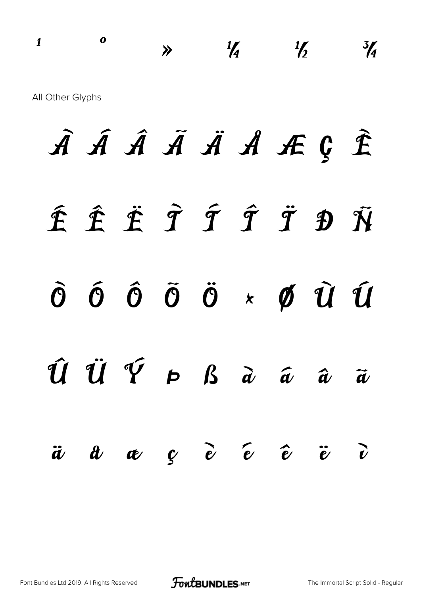$\begin{array}{ccc} 1 & 0 & \rightarrow & \frac{1}{4} & \frac{1}{2} & \frac{3}{4} \end{array}$ All Other Glyphs

À Á Â Ã Ä Å Æ Ç È É Ê Ë Ì Í Î Ï Ð Ñ  $\tilde{O}$   $\tilde{O}$   $\tilde{O}$   $\tilde{O}$   $\tilde{O}$   $\times$   $\tilde{O}$   $\tilde{U}$   $\tilde{U}$ Û Ü Ý Þ ß à á â ã  $\ddot{a}$   $\dot{a}$   $\dot{a}$   $\dot{c}$   $\ddot{c}$   $\ddot{c}$   $\ddot{c}$   $\ddot{c}$   $\ddot{c}$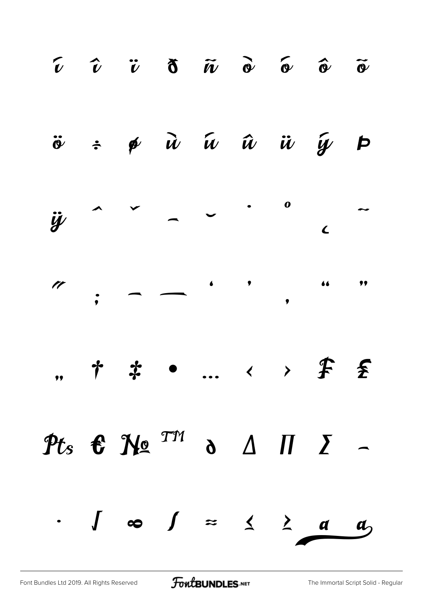

[Font Bundles Ltd 2019. All Rights Reserved](https://fontbundles.net/) **FoutBUNDLES.NET** [The Immortal Script Solid - Regular](https://fontbundles.net/)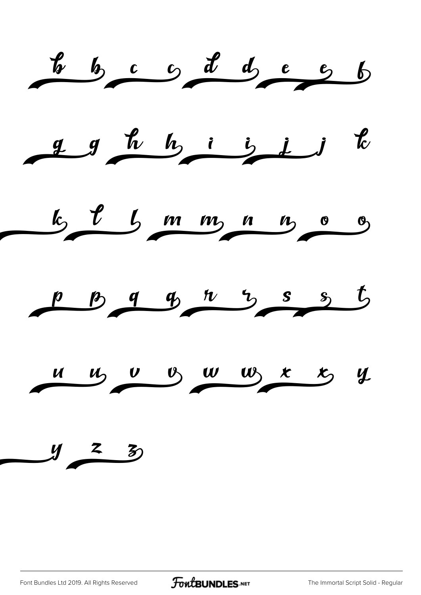

[Font Bundles Ltd 2019. All Rights Reserved](https://fontbundles.net/) **FoutBUNDLES.NET** [The Immortal Script Solid - Regular](https://fontbundles.net/)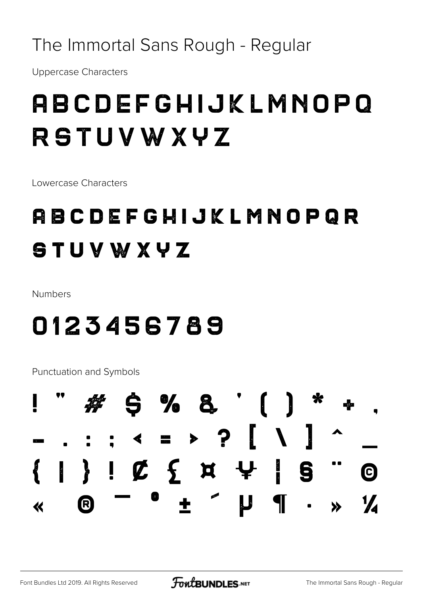#### The Immortal Sans Rough - Regular

**Uppercase Characters** 

### **ABCDEFGHIJKLMNOPQ RSTUVWXYZ**

Lowercase Characters

### **ABCDEFGHIJKLMNOPQR STUVWXYZ**

Numbers

### 0123456789

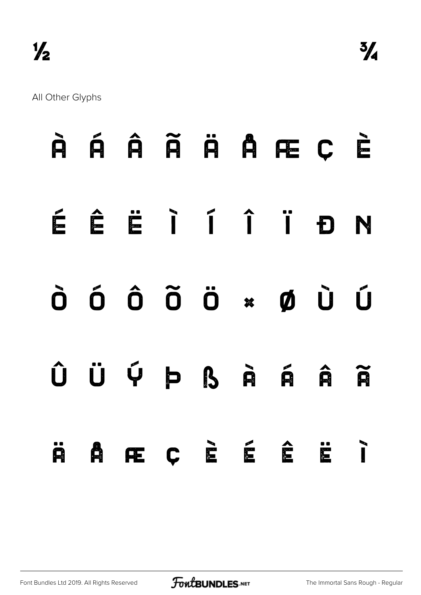|  |  |  | À Á Â Ã Ä Å Æ Ç È                                                                            |  |
|--|--|--|----------------------------------------------------------------------------------------------|--|
|  |  |  | ÉÊËÏÍÍÏĐN                                                                                    |  |
|  |  |  | $\tilde{O}$ $\tilde{O}$ $\tilde{O}$ $\tilde{O}$ $\tilde{O}$ $\times$ $\tilde{O}$ $\tilde{O}$ |  |
|  |  |  | ÛÜÝÞßÀÁÃ                                                                                     |  |
|  |  |  | SARCÈÉÉEI                                                                                    |  |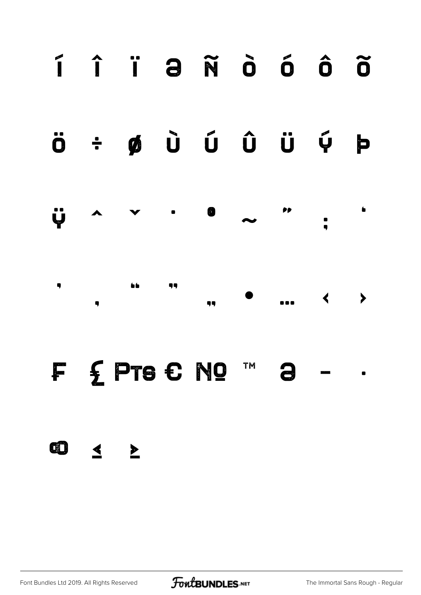

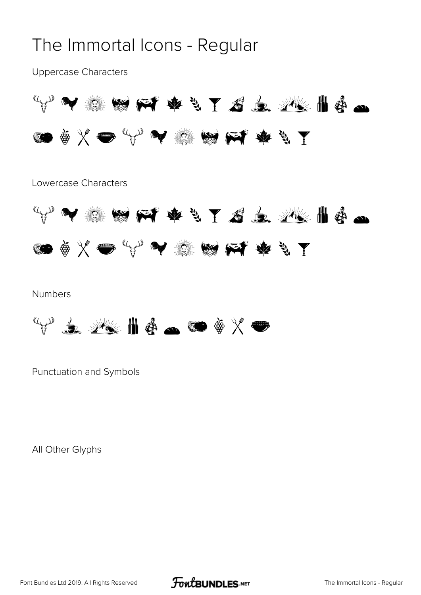#### The Immortal Icons - Regular

Uppercase Characters



Lowercase Characters



#### Numbers



Punctuation and Symbols

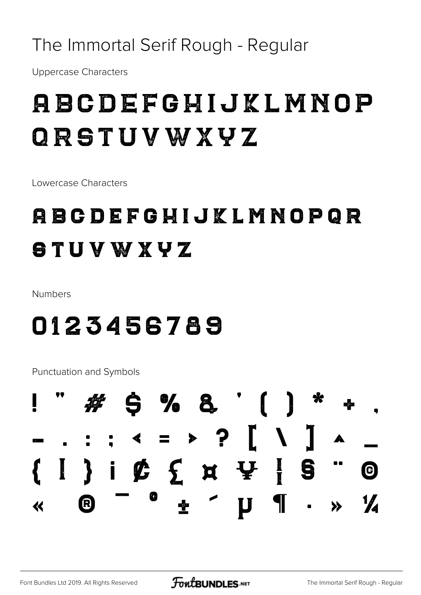#### The Immortal Serif Rough - Regular

**Uppercase Characters** 

### **ABCDEFGHIJKLMNOP** ORSTUVWXYZ

Lowercase Characters

### **ABCDEFGHIJKLMNOPGR** STUVWXYZ

Numbers

### 0123456789

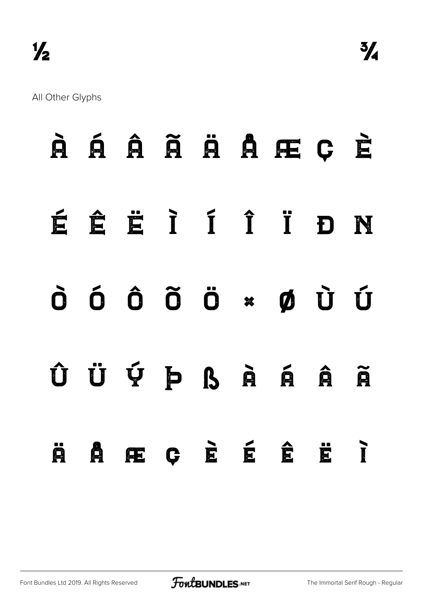|  |  |  | À Á Â Ã Ä À Å Æ Ç È                                                                                                                                                                                  |  |
|--|--|--|------------------------------------------------------------------------------------------------------------------------------------------------------------------------------------------------------|--|
|  |  |  | ÉÉÈRIÍÎ DN                                                                                                                                                                                           |  |
|  |  |  | $\dot{\mathbf{0}}$ $\dot{\mathbf{0}}$ $\dot{\mathbf{0}}$ $\ddot{\mathbf{0}}$ $\ddot{\mathbf{0}}$ $\ddot{\mathbf{0}}$ $\ddot{\mathbf{0}}$ $\ddot{\mathbf{0}}$ $\ddot{\mathbf{0}}$ $\ddot{\mathbf{0}}$ |  |
|  |  |  | ÛÜÝÞßÀÁÂÃ                                                                                                                                                                                            |  |
|  |  |  | Ä A Æ Ç E É Ê Ë Î                                                                                                                                                                                    |  |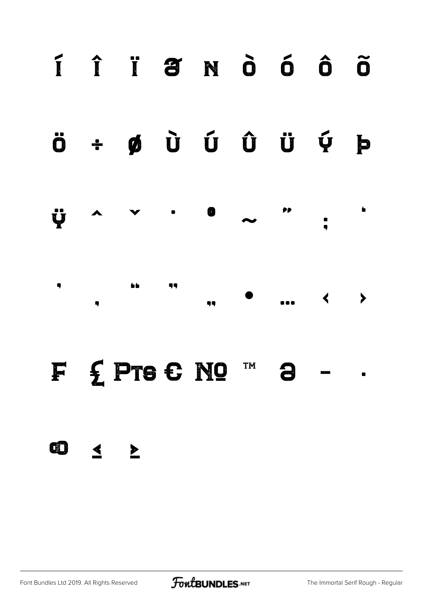

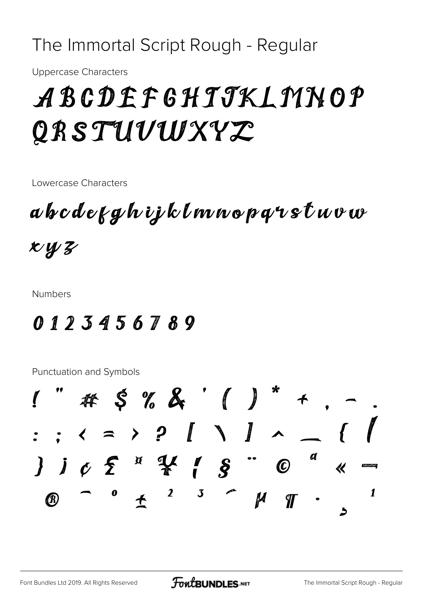#### The Immortal Script Rough - Regular

**Uppercase Characters** 

## ABCDEFGHTJKLMNOP QRSTUVWXYZ

Lowercase Characters

a b c d e g y h i j k l m n o p q r s t u v w  $xyz$ 

**Numbers** 

### 0123456789

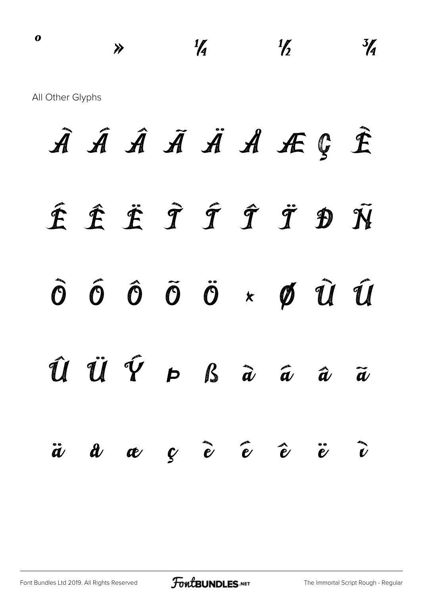$\gamma$   $\frac{1}{4}$   $\frac{1}{2}$   $\frac{3}{4}$ All Other Glyphs

À Á Â Ã Ä Å Æ Ç È É Ê Ë Ì Í Î Ï Ð Ñ Ò Ó Ô Õ Ö × Ø Ù Ú  $\hat{u}$   $\dot{u}$   $\hat{\gamma}$   $p$   $\beta$   $\hat{a}$   $\hat{a}$   $\hat{a}$   $\hat{a}$ ä å æ ç è é ê ë ì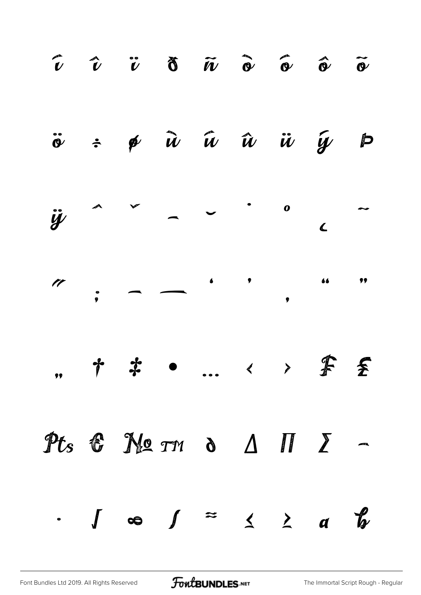

[Font Bundles Ltd 2019. All Rights Reserved](https://fontbundles.net/) **FoutBUNDLES.NET** [The Immortal Script Rough - Regular](https://fontbundles.net/)